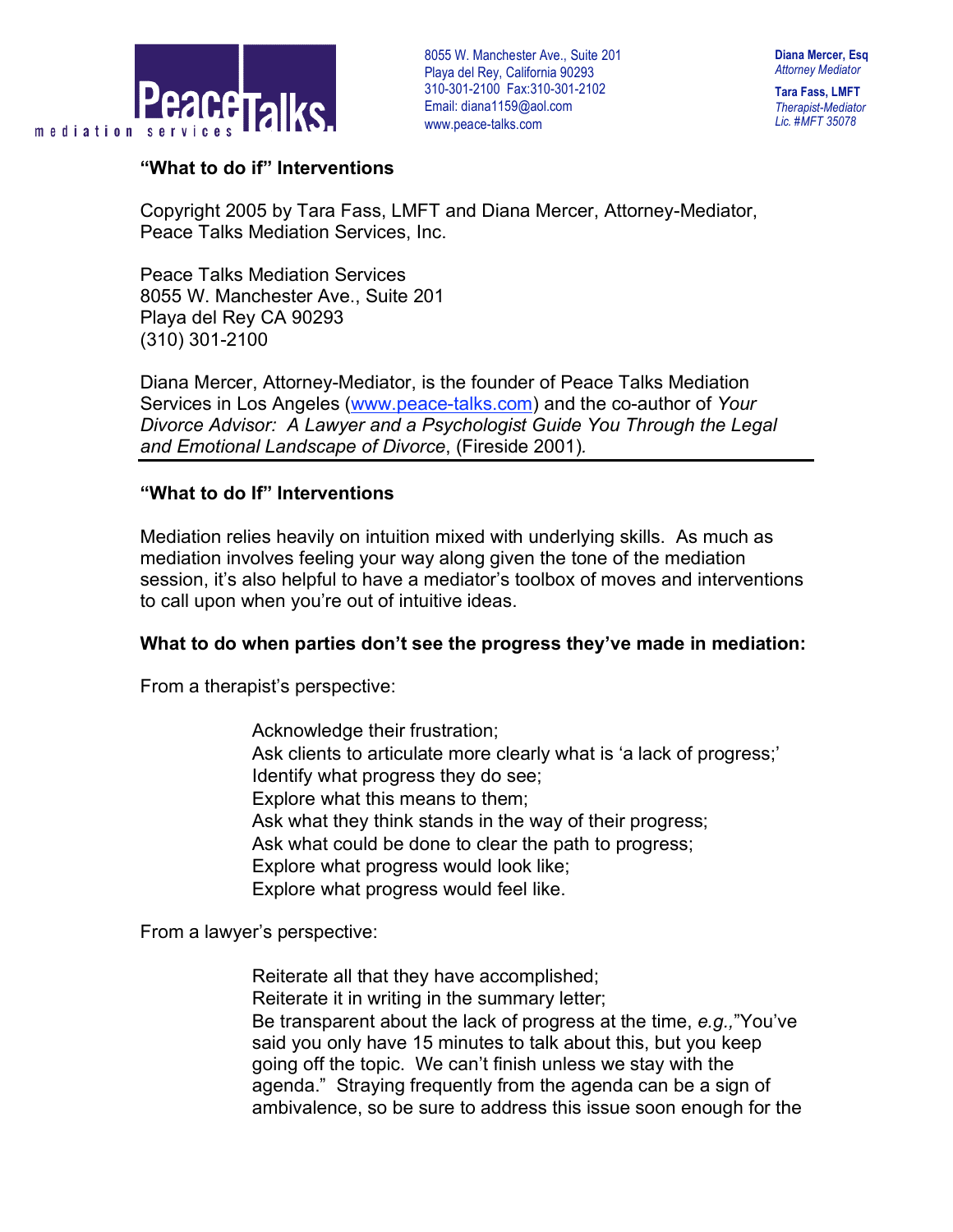

**Tara Fass, LMFT** *Therapist-Mediator Lic. #MFT 35078*

### **"What to do if" Interventions**

Copyright 2005 by Tara Fass, LMFT and Diana Mercer, Attorney-Mediator, Peace Talks Mediation Services, Inc.

Peace Talks Mediation Services 8055 W. Manchester Ave., Suite 201 Playa del Rey CA 90293 (310) 301-2100

Diana Mercer, Attorney-Mediator, is the founder of Peace Talks Mediation Services in Los Angeles (www.peace-talks.com) and the co-author of *Your Divorce Advisor: A Lawyer and a Psychologist Guide You Through the Legal and Emotional Landscape of Divorce*, (Fireside 2001)*.*

### **"What to do If" Interventions**

Mediation relies heavily on intuition mixed with underlying skills. As much as mediation involves feeling your way along given the tone of the mediation session, it's also helpful to have a mediator's toolbox of moves and interventions to call upon when you're out of intuitive ideas.

### **What to do when parties don't see the progress they've made in mediation:**

From a therapist's perspective:

 Acknowledge their frustration; Ask clients to articulate more clearly what is 'a lack of progress;' Identify what progress they do see; Explore what this means to them; Ask what they think stands in the way of their progress; Ask what could be done to clear the path to progress; Explore what progress would look like; Explore what progress would feel like.

From a lawyer's perspective:

 Reiterate all that they have accomplished; Reiterate it in writing in the summary letter; Be transparent about the lack of progress at the time, *e.g.,*"You've said you only have 15 minutes to talk about this, but you keep going off the topic. We can't finish unless we stay with the agenda." Straying frequently from the agenda can be a sign of ambivalence, so be sure to address this issue soon enough for the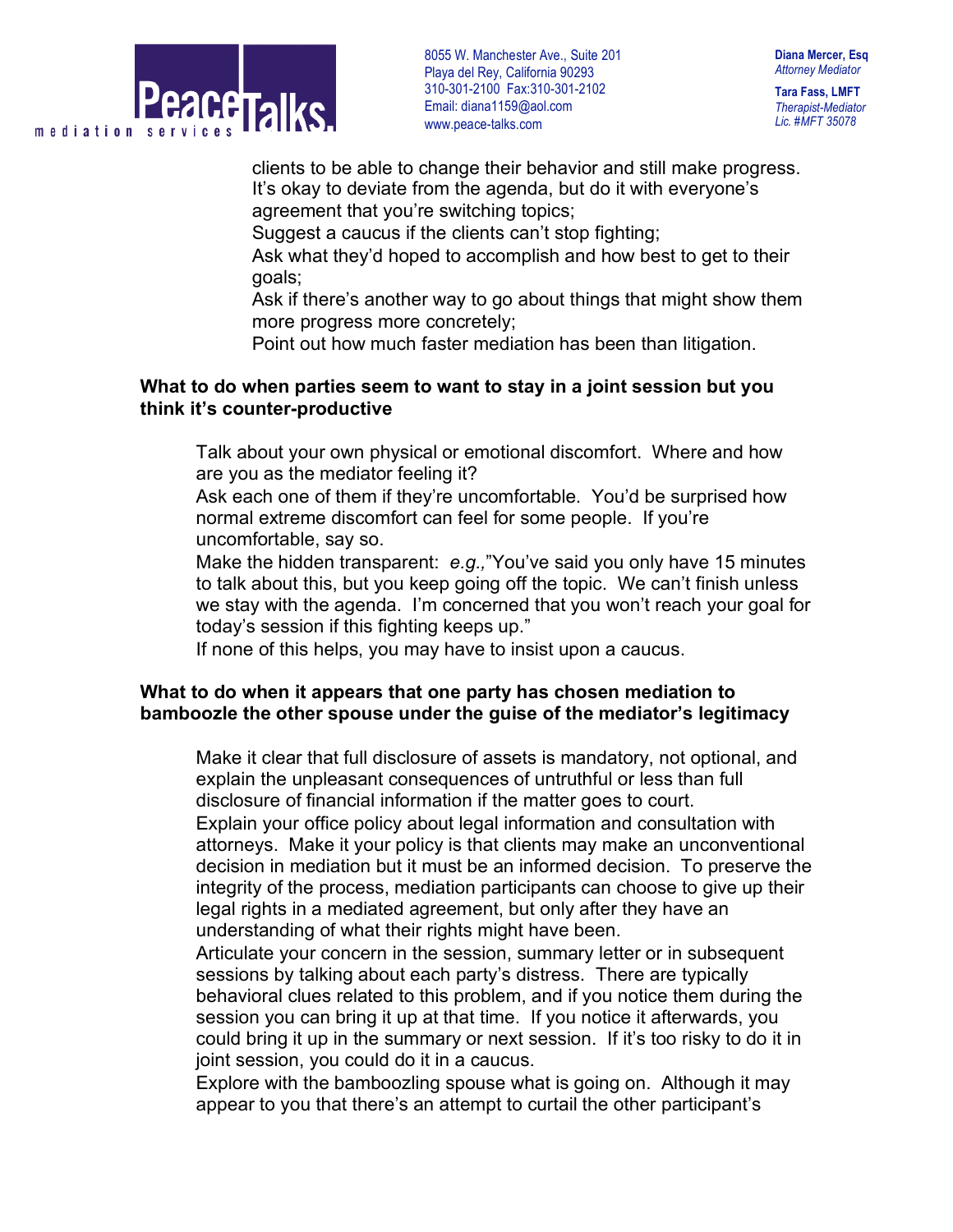

**Tara Fass, LMFT** *Therapist-Mediator Lic. #MFT 35078*

clients to be able to change their behavior and still make progress. It's okay to deviate from the agenda, but do it with everyone's agreement that you're switching topics;

Suggest a caucus if the clients can't stop fighting;

 Ask what they'd hoped to accomplish and how best to get to their goals;

 Ask if there's another way to go about things that might show them more progress more concretely;

Point out how much faster mediation has been than litigation.

## **What to do when parties seem to want to stay in a joint session but you think it's counter-productive**

 Talk about your own physical or emotional discomfort. Where and how are you as the mediator feeling it?

 Ask each one of them if they're uncomfortable. You'd be surprised how normal extreme discomfort can feel for some people. If you're uncomfortable, say so.

 Make the hidden transparent: *e.g.,*"You've said you only have 15 minutes to talk about this, but you keep going off the topic. We can't finish unless we stay with the agenda. I'm concerned that you won't reach your goal for today's session if this fighting keeps up."

If none of this helps, you may have to insist upon a caucus.

## **What to do when it appears that one party has chosen mediation to bamboozle the other spouse under the guise of the mediator's legitimacy**

 Make it clear that full disclosure of assets is mandatory, not optional, and explain the unpleasant consequences of untruthful or less than full disclosure of financial information if the matter goes to court.

 Explain your office policy about legal information and consultation with attorneys. Make it your policy is that clients may make an unconventional decision in mediation but it must be an informed decision. To preserve the integrity of the process, mediation participants can choose to give up their legal rights in a mediated agreement, but only after they have an understanding of what their rights might have been.

 Articulate your concern in the session, summary letter or in subsequent sessions by talking about each party's distress. There are typically behavioral clues related to this problem, and if you notice them during the session you can bring it up at that time. If you notice it afterwards, you could bring it up in the summary or next session. If it's too risky to do it in joint session, you could do it in a caucus.

 Explore with the bamboozling spouse what is going on. Although it may appear to you that there's an attempt to curtail the other participant's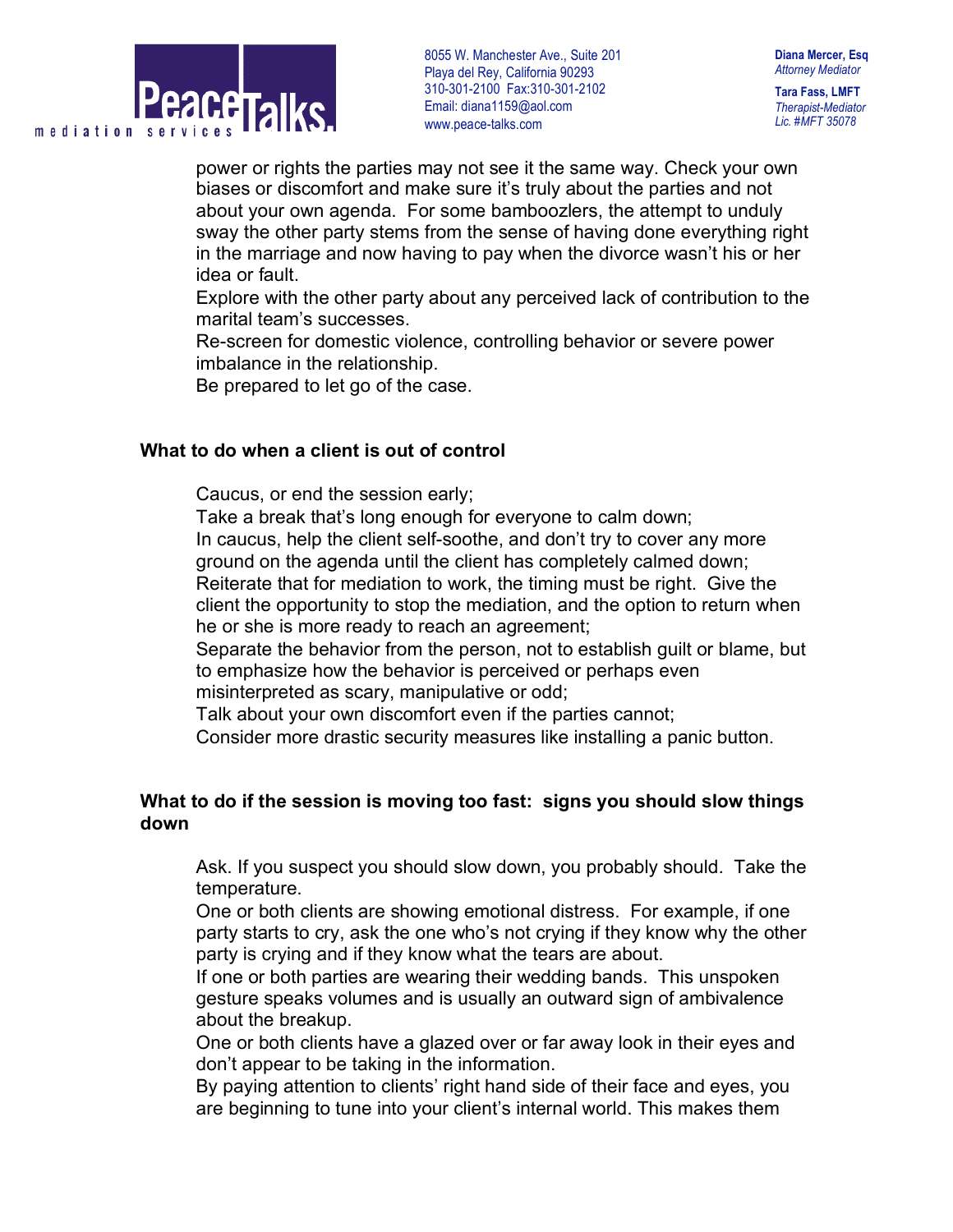

**Tara Fass, LMFT** *Therapist-Mediator Lic. #MFT 35078*

power or rights the parties may not see it the same way. Check your own biases or discomfort and make sure it's truly about the parties and not about your own agenda. For some bamboozlers, the attempt to unduly sway the other party stems from the sense of having done everything right in the marriage and now having to pay when the divorce wasn't his or her idea or fault.

 Explore with the other party about any perceived lack of contribution to the marital team's successes.

 Re-screen for domestic violence, controlling behavior or severe power imbalance in the relationship.

Be prepared to let go of the case.

## **What to do when a client is out of control**

Caucus, or end the session early;

Take a break that's long enough for everyone to calm down;

 In caucus, help the client self-soothe, and don't try to cover any more ground on the agenda until the client has completely calmed down; Reiterate that for mediation to work, the timing must be right. Give the

client the opportunity to stop the mediation, and the option to return when he or she is more ready to reach an agreement;

 Separate the behavior from the person, not to establish guilt or blame, but to emphasize how the behavior is perceived or perhaps even misinterpreted as scary, manipulative or odd;

Talk about your own discomfort even if the parties cannot;

Consider more drastic security measures like installing a panic button.

# **What to do if the session is moving too fast: signs you should slow things down**

 Ask. If you suspect you should slow down, you probably should. Take the temperature.

 One or both clients are showing emotional distress. For example, if one party starts to cry, ask the one who's not crying if they know why the other party is crying and if they know what the tears are about.

 If one or both parties are wearing their wedding bands. This unspoken gesture speaks volumes and is usually an outward sign of ambivalence about the breakup.

 One or both clients have a glazed over or far away look in their eyes and don't appear to be taking in the information.

 By paying attention to clients' right hand side of their face and eyes, you are beginning to tune into your client's internal world. This makes them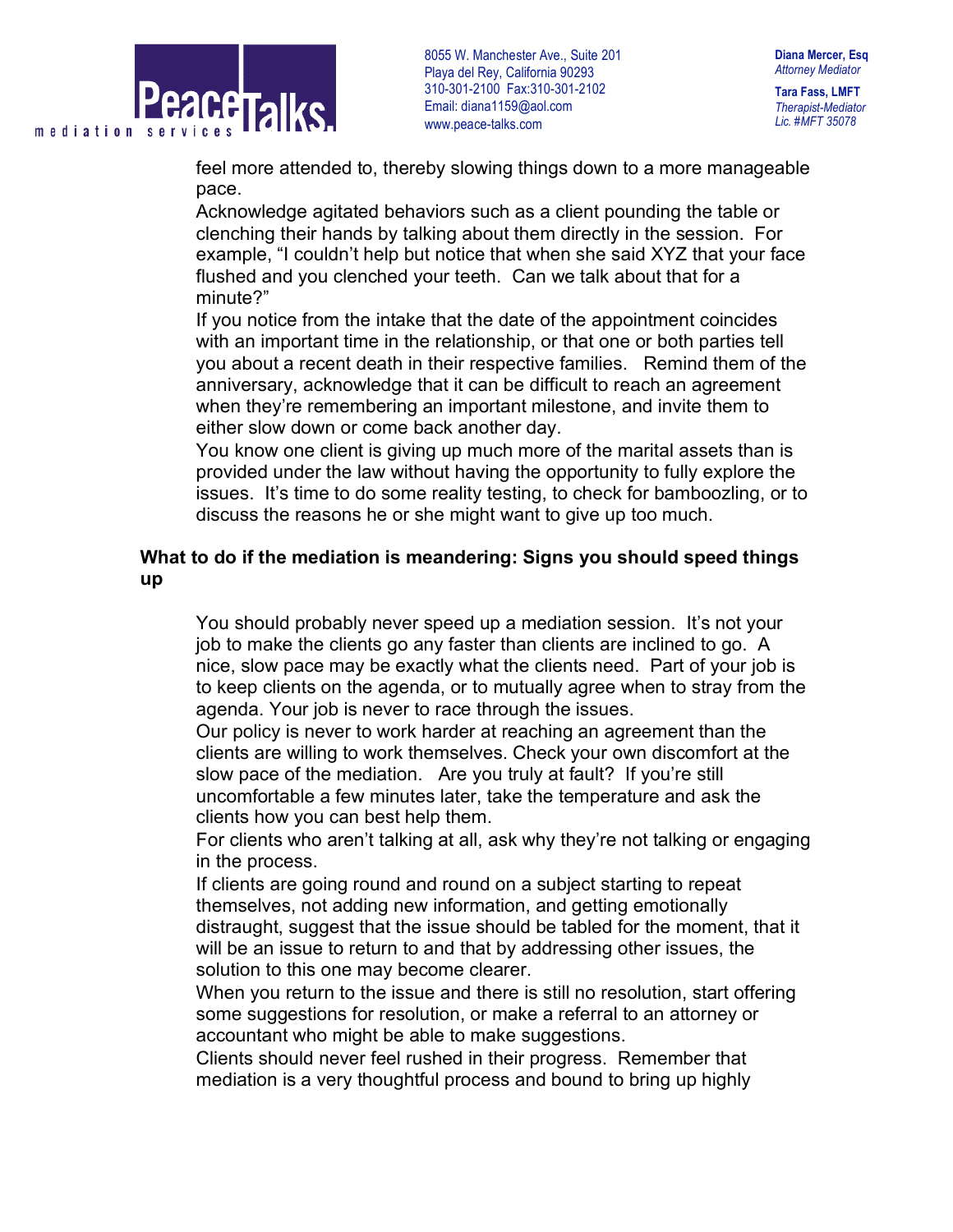

**Diana Mercer, Esq** *Attorney Mediator*

**Tara Fass, LMFT** *Therapist-Mediator Lic. #MFT 35078*

feel more attended to, thereby slowing things down to a more manageable pace.

 Acknowledge agitated behaviors such as a client pounding the table or clenching their hands by talking about them directly in the session. For example, "I couldn't help but notice that when she said XYZ that your face flushed and you clenched your teeth. Can we talk about that for a minute?"

 If you notice from the intake that the date of the appointment coincides with an important time in the relationship, or that one or both parties tell you about a recent death in their respective families. Remind them of the anniversary, acknowledge that it can be difficult to reach an agreement when they're remembering an important milestone, and invite them to either slow down or come back another day.

 You know one client is giving up much more of the marital assets than is provided under the law without having the opportunity to fully explore the issues. It's time to do some reality testing, to check for bamboozling, or to discuss the reasons he or she might want to give up too much.

# **What to do if the mediation is meandering: Signs you should speed things up**

 You should probably never speed up a mediation session. It's not your job to make the clients go any faster than clients are inclined to go. A nice, slow pace may be exactly what the clients need. Part of your job is to keep clients on the agenda, or to mutually agree when to stray from the agenda. Your job is never to race through the issues.

 Our policy is never to work harder at reaching an agreement than the clients are willing to work themselves. Check your own discomfort at the slow pace of the mediation. Are you truly at fault? If you're still uncomfortable a few minutes later, take the temperature and ask the clients how you can best help them.

 For clients who aren't talking at all, ask why they're not talking or engaging in the process.

 If clients are going round and round on a subject starting to repeat themselves, not adding new information, and getting emotionally distraught, suggest that the issue should be tabled for the moment, that it will be an issue to return to and that by addressing other issues, the solution to this one may become clearer.

 When you return to the issue and there is still no resolution, start offering some suggestions for resolution, or make a referral to an attorney or accountant who might be able to make suggestions.

 Clients should never feel rushed in their progress. Remember that mediation is a very thoughtful process and bound to bring up highly